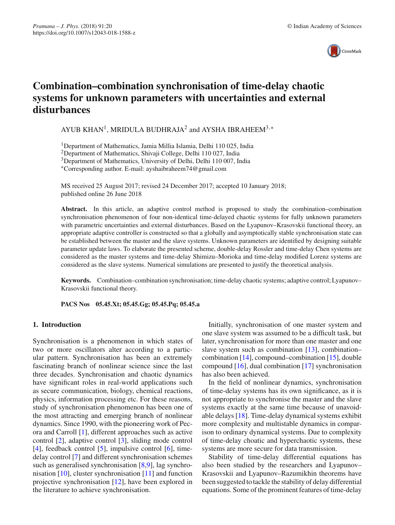

# **Combination–combination synchronisation of time-delay chaotic systems for unknown parameters with uncertainties and external disturbances**

AYUB KHAN<sup>1</sup>, MRIDULA BUDHRAJA<sup>2</sup> and AYSHA IBRAHEEM<sup>3,\*</sup>

1Department of Mathematics, Jamia Millia Islamia, Delhi 110 025, India

2Department of Mathematics, Shivaji College, Delhi 110 027, India

<sup>3</sup>Department of Mathematics, University of Delhi, Delhi 110 007, India

∗Corresponding author. E-mail: ayshaibraheem74@gmail.com

MS received 25 August 2017; revised 24 December 2017; accepted 10 January 2018; published online 26 June 2018

**Abstract.** In this article, an adaptive control method is proposed to study the combination–combination synchronisation phenomenon of four non-identical time-delayed chaotic systems for fully unknown parameters with parametric uncertainties and external disturbances. Based on the Lyapunov–Krasovskii functional theory, an appropriate adaptive controller is constructed so that a globally and asymptotically stable synchronisation state can be established between the master and the slave systems. Unknown parameters are identified by designing suitable parameter update laws. To elaborate the presented scheme, double-delay Rossler and time-delay Chen systems are considered as the master systems and time-delay Shimizu–Morioka and time-delay modified Lorenz systems are considered as the slave systems. Numerical simulations are presented to justify the theoretical analysis.

**Keywords.** Combination–combination synchronisation; time-delay chaotic systems; adaptive control; Lyapunov– Krasovskii functional theory.

**PACS Nos 05.45.Xt; 05.45.Gg; 05.45.Pq; 05.45.a**

### **1. Introduction**

Synchronisation is a phenomenon in which states of two or more oscillators alter according to a particular pattern. Synchronisation has been an extremely fascinating branch of nonlinear science since the last three decades. Synchronisation and chaotic dynamics have significant roles in real-world applications such as secure communication, biology, chemical reactions, physics, information processing etc. For these reasons, study of synchronisation phenomenon has been one of the most attracting and emerging branch of nonlinear dynamics. Since 1990, with the pioneering work of Pecora and Carroll [\[1](#page-9-0)], different approaches such as active control [\[2](#page-9-1)], adaptive control [\[3\]](#page-9-2), sliding mode control [\[4\]](#page-9-3), feedback control [\[5](#page-9-4)], impulsive control [\[6](#page-10-0)], timedelay control [\[7\]](#page-10-1) and different synchronisation schemes such as generalised synchronisation [\[8](#page-10-2)[,9\]](#page-10-3), lag synchronisation [\[10](#page-10-4)], cluster synchronisation [\[11](#page-10-5)] and function projective synchronisation [\[12](#page-10-6)], have been explored in the literature to achieve synchronisation.

Initially, synchronisation of one master system and one slave system was assumed to be a difficult task, but later, synchronisation for more than one master and one slave system such as combination  $[13]$  $[13]$ , combination– combination [\[14\]](#page-10-8), compound–combination [\[15](#page-10-9)], double compound [\[16\]](#page-10-10), dual combination [\[17](#page-10-11)] synchronisation has also been achieved.

In the field of nonlinear dynamics, synchronisation of time-delay systems has its own significance, as it is not appropriate to synchronise the master and the slave systems exactly at the same time because of unavoidable delays [\[18\]](#page-10-12). Time-delay dynamical systems exhibit more complexity and multistable dynamics in comparison to ordinary dynamical systems. Due to complexity of time-delay choatic and hyperchaotic systems, these systems are more secure for data transmission.

Stability of time-delay differential equations has also been studied by the researchers and Lyapunov– Krasovskii and Lyapunov–Razumikhin theorems have been suggested to tackle the stability of delay differential equations. Some of the prominent features of time-delay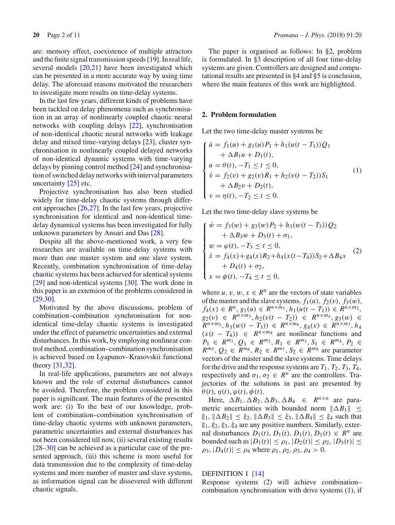are: memory effect, coexistence of multiple attractors and the finite signal transmission speeds [\[19](#page-10-13)]. In real life, several models [\[20](#page-10-14)[,21\]](#page-10-15) have been investigated which can be presented in a more accurate way by using time delay. The aforesaid reasons motivated the researchers to investigate more results on time-delay systems.

In the last few years, different kinds of problems have been tackled on delay phenomena such as synchronisation in an array of nonlinearly coupled chaotic neural networks with coupling delays [\[22\]](#page-10-16), synchronisation of non-identical chaotic neural networks with leakage delay and mixed time-varying delays [\[23](#page-10-17)], cluster synchronisation in nonlinearly coupled delayed networks of non-identical dynamic systems with time-varying delays by pinning control method [\[24\]](#page-10-18) and synchronisation of switched delay networks with interval parameters uncertainty [\[25](#page-10-19)] etc.

Projective synchronisation has also been studied widely for time-delay chaotic systems through different approaches [\[26](#page-10-20)[,27\]](#page-10-21). In the last few years, projective synchronisation for identical and non-identical timedelay dynamical systems has been investigated for fully unknown parameters by Ansari and Das [\[28](#page-10-22)].

Despite all the above-mentioned work, a very few researches are available on time-delay systems with more than one master system and one slave system. Recently, combination synchronisation of time-delay chaotic systems has been achieved for identical systems [\[29](#page-10-23)] and non-identical systems [\[30\]](#page-10-24). The work done in this paper is an extension of the problems considered in [\[29](#page-10-23)[,30\]](#page-10-24).

Motivated by the above discussions, problem of combination–combination synchronisation for nonidentical time-delay chaotic systems is investigated under the effect of parametric uncertainties and external disturbances. In this work, by employing nonlinear control method, combination–combination synchronisation is achieved based on Lyapunov–Krasovskii functional theory [\[31](#page-10-25)[,32\]](#page-10-26).

In real-life applications, parameters are not always known and the role of external disturbances cannot be avoided. Therefore, the problem considered in this paper is significant. The main features of the presented work are: (i) To the best of our knowledge, problem of combination–combination synchronisation of time-delay chaotic systems with unknown parameters, parametric uncertainties and external disturbances has not been considered till now, (ii) several existing results [\[28](#page-10-22)[–30\]](#page-10-24) can be achieved as a particular case of the presented approach, (iii) this scheme is more useful for data transmission due to the complexity of time-delay systems and more number of master and slave systems, as information signal can be dissevered with different chaotic signals.

The paper is organised as follows: In [§2,](#page-1-0) problem is formulated. In [§3](#page-3-0) description of all four time-delay systems are given. Controllers are designed and computational results are presented in [§4](#page-5-0) and [§5](#page-8-0) is conclusion, where the main features of this work are highlighted.

#### <span id="page-1-0"></span>**2. Problem formulation**

Let the two time-delay master systems be

<span id="page-1-2"></span>
$$
\begin{cases}\n\dot{u} = f_1(u) + g_1(u)P_1 + h_1(u(t - T_1))Q_1 \\
+ \Delta B_1 u + D_1(t), \\
u = \theta(t), -T_1 \le t \le 0, \\
\dot{v} = f_2(v) + g_2(v)R_1 + h_2(v(t - T_2))S_1 \\
+ \Delta B_2 v + D_2(t), \\
v = \eta(t), -T_2 \le t \le 0.\n\end{cases}
$$
\n(1)

<span id="page-1-1"></span>Let the two time-delay slave systems be

$$
\begin{cases}\n\dot{w} = f_3(w) + g_3(w)P_2 + h_3(w(t - T_3))Q_2 \\
+ \Delta B_3w + D_3(t) + \sigma_1, \\
w = \varphi(t), -T_3 \le t \le 0, \\
\dot{x} = f_4(x) + g_4(x)R_2 + h_4(x(t - T_4))S_2 + \Delta B_4x \\
+ D_4(t) + \sigma_2, \\
x = \varphi(t), -T_4 \le t \le 0,\n\end{cases}
$$
\n(2)

where  $u, v, w, x \in \mathbb{R}^n$  are the vectors of state variables of the master and the slave systems.  $f_1(u)$ ,  $f_2(v)$ ,  $f_3(w)$ ,  $f_4(x) \in R^n$ ,  $g_1(u) \in R^{n \times m_1}$ ,  $h_1(u(t-T_1)) \in R^{n \times m_2}$ , *g*<sub>2</sub>(*v*) ∈  $R^{n \times m_3}$ ,  $h_2(v(t - T_2))$  ∈  $R^{n \times m_4}$ ,  $g_3(w)$  ∈  $R^{n \times m_5}, h_3(w(t - \overline{T_3})) \in R^{n \times m_6}, g_4(x) \in R^{n \times m_7}, h_4$  $(x(t - T_4)) \in R^{n \times m_8}$  are nonlinear functions and  $P_1 \in R^{m_1}, Q_1 \in R^{m_2}, R_1 \in R^{m_3}, S_1 \in R^{m_4}, P_2 \in$  $R^{m_5}$ ,  $Q_2 \in \mathbb{R}^{m_6}$ ,  $R_2 \in \mathbb{R}^{m_7}$ ,  $S_2 \in \mathbb{R}^{m_8}$  are parameter vectors of the master and the slave systems. Time delays for the drive and the response systems are  $T_1$ ,  $T_2$ ,  $T_3$ ,  $T_4$ , respectively and  $\sigma_1, \sigma_2 \in R^n$  are the controllers. Trajectories of the solutions in past are presented by  $\theta(t), \eta(t), \varphi(t), \phi(t)$ .

Here,  $\Delta B_1$ ,  $\Delta B_2$ ,  $\Delta B_3$ ,  $\Delta B_4 \in R^{n \times n}$  are parametric uncertainties with bounded norm  $\|\Delta B_1\| \le$  $|\xi_1|, \|\Delta B_2\| \leq \xi_2, \|\Delta B_3\| \leq \xi_3, \|\Delta B_4\| \leq \xi_4$  such that  $\xi_1, \xi_2, \xi_3, \xi_4$  are any positive numbers. Similarly, external disturbances  $D_1(t)$ ,  $D_1(t)$ ,  $D_1(t)$ ,  $D_1(t) \in R^n$  are bounded such as  $|D_1(t)| \le \rho_1$ ,  $|D_2(t)| \le \rho_2$ ,  $|D_3(t)| \le$  $\rho_3$ ,  $|D_4(t)| \leq \rho_4$  where  $\rho_1$ ,  $\rho_2$ ,  $\rho_3$ ,  $\rho_4 > 0$ .

#### DEFINITION 1 [\[14\]](#page-10-8)

Response systems [\(2\)](#page-1-1) will achieve combination– combination synchronisation with drive systems [\(1\)](#page-1-2), if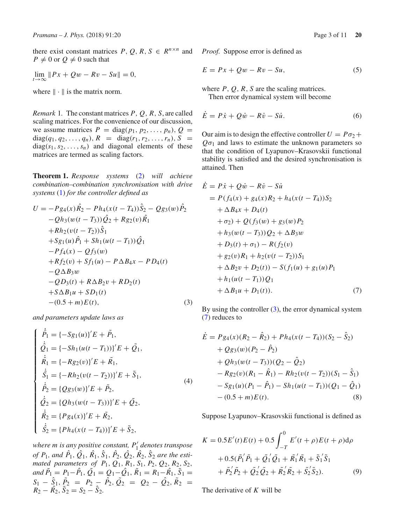there exist constant matrices  $P$ ,  $Q$ ,  $R$ ,  $S \in R^{n \times n}$  and  $P \neq 0$  or  $Q \neq 0$  such that

 $\lim_{t \to \infty}$   $\|Px + Qw - Rv - Su\| = 0,$ 

where  $\|\cdot\|$  is the matrix norm.

*Remark* 1*.* The constant matrices *P*, *Q*, *R*, *S*, are called scaling matrices. For the convenience of our discussion, we assume matrices  $P = \text{diag}(p_1, p_2, \dots, p_n), Q =$  $diag(q_1, q_2, \ldots, q_n), R = diag(r_1, r_2, \ldots, r_n), S =$  $diag(s_1, s_2, \ldots, s_n)$  and diagonal elements of these matrices are termed as scaling factors.

<span id="page-2-4"></span>**Theorem 1.** *Response systems* [\(2\)](#page-1-1) *will achieve combination–combination synchronisation with drive systems* [\(1\)](#page-1-2) *for the controller defined as*

<span id="page-2-0"></span>
$$
U = -P g_4(x)\hat{R}_2 - P h_4(x(t - T_4))\hat{S}_2 - Q g_3(w)\hat{P}_2
$$
  
\n
$$
-Q h_3(w(t - T_3))\hat{Q}_2 + R g_2(v)\hat{R}_1
$$
  
\n
$$
+ R h_2(v(t - T_2))\hat{S}_1
$$
  
\n
$$
+ S g_1(u)\hat{P}_1 + S h_1(u(t - T_1))\hat{Q}_1
$$
  
\n
$$
-P f_4(x) - Q f_3(w)
$$
  
\n
$$
+ R f_2(v) + S f_1(u) - P \Delta B_4 x - P D_4(t)
$$
  
\n
$$
-Q \Delta B_3 w
$$
  
\n
$$
-Q D_3(t) + R \Delta B_2 v + R D_2(t)
$$
  
\n
$$
+ S \Delta B_1 u + S D_1(t)
$$
  
\n
$$
- (0.5 + m) E(t),
$$
  
\n(3)

*and parameters update laws as*

$$
\begin{cases}\n\dot{\hat{P}}_1 = \{-Sg_1(u)\}' E + \tilde{P}_1, \\
\dot{\hat{Q}}_1 = \{-Sh_1(u(t - T_1))\}' E + \tilde{Q}_1, \\
\dot{\hat{R}}_1 = \{-Rg_2(v)\}' E + \tilde{R}_1, \\
\dot{\hat{S}}_1 = \{-Rh_2(v(t - T_2))\}' E + \tilde{S}_1, \\
\dot{\hat{P}}_2 = \{Qg_3(w)\}' E + \tilde{P}_2, \\
\dot{\hat{Q}}_2 = \{Qh_3(w(t - T_3))\}' E + \tilde{Q}_2, \\
\dot{\hat{R}}_2 = \{Pg_4(x)\}' E + \tilde{R}_2, \\
\dot{\hat{S}}_2 = \{Ph_4(x(t - T_4))\}' E + \tilde{S}_2,\n\end{cases}
$$
\n(4)

*where m is any positive constant, P* <sup>1</sup> *denotes transpose of*  $P_1$ , and  $\hat{P_1}$ ,  $\hat{Q_1}$ ,  $\hat{R_1}$ ,  $\hat{S_1}$ ,  $\hat{P_2}$ ,  $\hat{Q_2}$ ,  $\hat{R_2}$ ,  $\hat{S_2}$  are the esti*mated parameters of P*1, *Q*1, *R*1, *S*1, *P*2, *Q*2, *R*2, *S*2,  $\alpha$ <sup>n</sup>  $\tilde{P}_1 = P_1 - \hat{P}_1$ ,  $\tilde{Q}_1 = Q_1 - \hat{Q}_1$ ,  $\tilde{R}_1 = R_1 - \hat{R}_1$ ,  $\tilde{S}_1 =$  $S_1 - S_1$ ,  $P_2 = P_2 - P_2$ ,  $Q_2 = Q_2 - Q_2$ ,  $R_2 =$  $R_2 - \hat{R}_2$ ,  $\tilde{S}_2 = S_2 - \hat{S}_2$ .

*Proof.* Suppose error is defined as

$$
E = Px + Qw - Rv - Su,\tag{5}
$$

where *P*, *Q*, *R*, *S* are the scaling matrices. Then error dynamical system will become

$$
\dot{E} = P\dot{x} + Q\dot{w} - R\dot{v} - S\dot{u}.\tag{6}
$$

Our aim is to design the effective controller  $U = P\sigma_2 +$  $Q\sigma_1$  and laws to estimate the unknown parameters so that the condition of Lyapunov–Krasovskii functional stability is satisfied and the desired synchronisation is attained. Then

<span id="page-2-1"></span>
$$
E = P\dot{x} + Q\dot{w} - R\dot{v} - S\dot{u}
$$
  
=  $P(f_4(x) + g_4(x)R_2 + h_4(x(t - T_4))S_2$   
+  $\Delta B_4x + D_4(t)$   
+  $\sigma_2$ ) +  $Q(f_3(w) + g_3(w)P_2$   
+  $h_3(w(t - T_3))Q_2 + \Delta B_3w$   
+  $D_3(t) + \sigma_1$ ) -  $R(f_2(v)$   
+  $g_2(v)R_1 + h_2(v(t - T_2))S_1$   
+  $\Delta B_2v + D_2(t)$ ) -  $S(f_1(u) + g_1(u)P_1$   
+  $h_1(u(t - T_1))Q_1$   
+  $\Delta B_1u + D_1(t)$ ). (7)

<span id="page-2-3"></span>By using the controller [\(3\)](#page-2-0), the error dynamical system [\(7\)](#page-2-1) reduces to

<span id="page-2-2"></span>
$$
\dot{E} = P_{g4}(x)(R_2 - \hat{R}_2) + Ph_4(x(t - T_4))(S_2 - \hat{S}_2)
$$
  
+  $Q_{g3}(w)(P_2 - \hat{P}_2)$   
+  $Qh_3(w(t - T_3))(Q_2 - \hat{Q}_2)$   
-  $Rg_2(v)(R_1 - \hat{R}_1) - Rh_2(v(t - T_2))(S_1 - \hat{S}_1)$   
-  $Sg_1(u)(P_1 - \hat{P}_1) - Sh_1(u(t - T_1))(Q_1 - \hat{Q}_1)$   
-  $(0.5 + m)E(t).$  (8)

Suppose Lyapunov–Krasovskii functional is defined as

$$
K = 0.5E'(t)E(t) + 0.5\int_{-T}^{0} E'(t+\rho)E(t+\rho)d\rho + 0.5(\tilde{P}_1'\tilde{P}_1 + \tilde{Q}_1'\tilde{Q}_1 + \tilde{R}_1'\tilde{R}_1 + \tilde{S}_1'\tilde{S}_1 + \tilde{P}_2'\tilde{P}_2 + \tilde{Q}_2'\tilde{Q}_2 + \tilde{R}_2'\tilde{R}_2 + \tilde{S}_2'\tilde{S}_2).
$$
 (9)

The derivative of *K* will be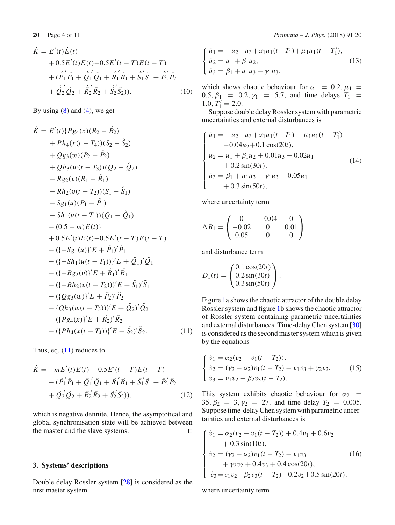$$
\dot{K} = E'(t)\dot{E}(t) \n+ 0.5E'(t)E(t) - 0.5E'(t - T)E(t - T) \n+ (\dot{\tilde{P}_1}'\tilde{P}_1 + \dot{\tilde{Q}_1}'\tilde{Q}_1 + \dot{\tilde{R}_1}'\tilde{R}_1 + \dot{\tilde{S}_1}'\tilde{S}_1 + \dot{\tilde{P}_2}'\tilde{P}_2 \n+ \dot{\tilde{Q}_2}'\tilde{Q}_2 + \dot{\tilde{R}_2}'\tilde{R}_2 + \dot{\tilde{S}_2}'\tilde{S}_2).
$$
\n(10)

By using  $(8)$  and  $(4)$ , we get

<span id="page-3-1"></span>
$$
\begin{aligned}\n\dot{K} &= E'(t) \{ P g_4(x) (R_2 - \hat{R}_2) \\
&+ P h_4(x(t - T_4))(S_2 - \hat{S}_2) \\
&+ Q g_3(w) (P_2 - \hat{P}_2) \\
&+ Q h_3(w(t - T_3))(Q_2 - \hat{Q}_2) \\
&- R g_2(v) (R_1 - \hat{R}_1) \\
&- R h_2(v(t - T_2))(S_1 - \hat{S}_1) \\
&- S g_1(u)(P_1 - \hat{P}_1) \\
&- S h_1(u(t - T_1))(Q_1 - \hat{Q}_1) \\
&- (0.5 + m)E(t) \\
&+ 0.5 E'(t) E(t) - 0.5 E'(t - T) E(t - T) \\
&- ( \{- S g_1(u) \}' E + \hat{P}_1)' \hat{P}_1 \\
&- ( \{- S h_1(u(t - T_1)) \}' E + \hat{Q}_1)' \hat{Q}_1 \\
&- ( \{- R g_2(v) \}' E + \hat{R}_1)' \hat{R}_1 \\
&- ( \{- R h_2(v(t - T_2)) \}' E + \hat{S}_1)' \hat{S}_1 \\
&- ( \{ Q g_3(w) \}' E + \hat{P}_2)' \hat{P}_2 \\
&- \{ Q h_3(w(t - T_3)) \}' E + \hat{Q}_2)' \hat{Q}_2 \\
&- ( \{ P g_4(x) \}' E + \hat{R}_2)' \hat{R}_2 \\
&- ( \{ P h_4(x(t - T_4)) \}' E + \hat{S}_2)' \hat{S}_2.\n\end{aligned} \tag{11}
$$

Thus, eq.  $(11)$  reduces to

$$
\dot{K} = -mE'(t)E(t) - 0.5E'(t - T)E(t - T) \n- (\tilde{P}_1' \tilde{P}_1 + \tilde{Q}_1' \tilde{Q}_1 + \tilde{R}_1' \tilde{R}_1 + \tilde{S}_1' \tilde{S}_1 + \tilde{P}_2' \tilde{P}_2 \n+ \tilde{Q}_2' \tilde{Q}_2 + \tilde{R}_2' \tilde{R}_2 + \tilde{S}_2' \tilde{S}_2)),
$$
\n(12)

which is negative definite. Hence, the asymptotical and global synchronisation state will be achieved between the master and the slave systems.  $\Box$ 

### <span id="page-3-0"></span>**3. Systems' descriptions**

Double delay Rossler system [\[28](#page-10-22)] is considered as the first master system

**20** Page 4 of 11 *Pramana – J. Phys.* (2018) 91:20

$$
\begin{cases} \n\dot{u}_1 = -u_2 - u_3 + \alpha_1 u_1 (t - T_1) + \mu_1 u_1 (t - T_1'),\\ \n\dot{u}_2 = u_1 + \beta_1 u_2,\\ \n\dot{u}_3 = \beta_1 + u_1 u_3 - \gamma_1 u_3,\n\end{cases} \tag{13}
$$

which shows chaotic behaviour for  $\alpha_1 = 0.2$ ,  $\mu_1 =$ 0.5,  $\beta_1$  = 0.2,  $\gamma_1$  = 5.7, and time delays  $T_1$  = 1.0,  $T'_1 = 2.0$ .

Suppose double delay Rossler system with parametric uncertainties and external disturbances is

<span id="page-3-2"></span>
$$
\begin{cases}\n\dot{u}_1 = -u_2 - u_3 + \alpha_1 u_1 (t - T_1) + \mu_1 u_1 (t - T_1') \\
- 0.04 u_2 + 0.1 \cos(20t), \\
\dot{u}_2 = u_1 + \beta_1 u_2 + 0.01 u_3 - 0.02 u_1 \\
+ 0.2 \sin(30t), \\
\dot{u}_3 = \beta_1 + u_1 u_3 - \gamma_1 u_3 + 0.05 u_1 \\
+ 0.3 \sin(50t),\n\end{cases}
$$
\n(14)

where uncertainty term

$$
\Delta B_1 = \begin{pmatrix} 0 & -0.04 & 0 \\ -0.02 & 0 & 0.01 \\ 0.05 & 0 & 0 \end{pmatrix}
$$

and disturbance term

$$
D_1(t) = \begin{pmatrix} 0.1 \cos(20t) \\ 0.2 \sin(30t) \\ 0.3 \sin(50t) \end{pmatrix}.
$$

Figure [1a](#page-4-0) shows the chaotic attractor of the double delay Rossler system and figure [1b](#page-4-0) shows the chaotic attractor of Rossler system containing parametric uncertainties and external disturbances. Time-delay Chen system [\[30\]](#page-10-24) is considered as the second master system which is given by the equations

$$
\begin{cases}\n\dot{v}_1 = \alpha_2 (v_2 - v_1 (t - T_2)), \\
\dot{v}_2 = (\gamma_2 - \alpha_2) v_1 (t - T_2) - v_1 v_3 + \gamma_2 v_2, \\
\dot{v}_3 = v_1 v_2 - \beta_2 v_3 (t - T_2).\n\end{cases}
$$
\n(15)

This system exhibits chaotic behaviour for  $\alpha_2$  = 35,  $\beta_2 = 3$ ,  $\gamma_2 = 27$ , and time delay  $T_2 = 0.005$ . Suppose time-delay Chen system with parametric uncertainties and external disturbances is

<span id="page-3-3"></span>
$$
\begin{cases}\n\dot{v}_1 = \alpha_2 (v_2 - v_1 (t - T_2)) + 0.4v_1 + 0.6v_2 \\
+ 0.3 \sin(10t), \\
\dot{v}_2 = (\gamma_2 - \alpha_2) v_1 (t - T_2) - v_1 v_3 \\
+ \gamma_2 v_2 + 0.4v_3 + 0.4 \cos(20t), \\
\dot{v}_3 = v_1 v_2 - \beta_2 v_3 (t - T_2) + 0.2v_2 + 0.5 \sin(20t),\n\end{cases}
$$
\n(16)

where uncertainty term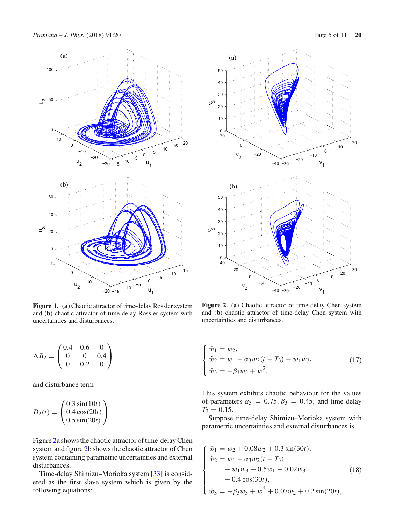

<span id="page-4-0"></span>**Figure 1.** (**a**) Chaotic attractor of time-delay Rossler system and (**b**) chaotic attractor of time-delay Rossler system with uncertainties and disturbances.

$$
\Delta B_2 = \begin{pmatrix} 0.4 & 0.6 & 0 \\ 0 & 0 & 0.4 \\ 0 & 0.2 & 0 \end{pmatrix}
$$

and disturbance term

$$
D_2(t) = \begin{pmatrix} 0.3 \sin(10t) \\ 0.4 \cos(20t) \\ 0.5 \sin(20t) \end{pmatrix}.
$$

Figure [2a](#page-4-1) shows the chaotic attractor of time-delay Chen system and figure [2b](#page-4-1) shows the chaotic attractor of Chen system containing parametric uncertainties and external disturbances.

Time-delay Shimizu–Morioka system [\[33](#page-10-27)] is considered as the first slave system which is given by the following equations:



<span id="page-4-1"></span>**Figure 2.** (**a**) Chaotic attractor of time-delay Chen system and (**b**) chaotic attractor of time-delay Chen system with uncertainties and disturbances.

$$
\begin{cases} \n\dot{w}_1 = w_2, \\ \n\dot{w}_2 = w_1 - \alpha_3 w_2 (t - T_3) - w_1 w_3, \\ \n\dot{w}_3 = -\beta_3 w_3 + w_1^2. \n\end{cases} \tag{17}
$$

This system exhibits chaotic behaviour for the values of parameters  $\alpha_3 = 0.75$ ,  $\beta_3 = 0.45$ , and time delay  $T_3 = 0.15$ .

<span id="page-4-2"></span>Suppose time-delay Shimizu–Morioka system with parametric uncertainties and external disturbances is

$$
\begin{cases}\n\dot{w}_1 = w_2 + 0.08w_2 + 0.3\sin(30t),\n\dot{w}_2 = w_1 - \alpha_3 w_2(t - T_3) \n- w_1 w_3 + 0.5w_1 - 0.02w_3 \n- 0.4\cos(30t), \n\dot{w}_3 = -\beta_3 w_3 + w_1^2 + 0.07w_2 + 0.2\sin(20t),\n\end{cases}
$$
\n(18)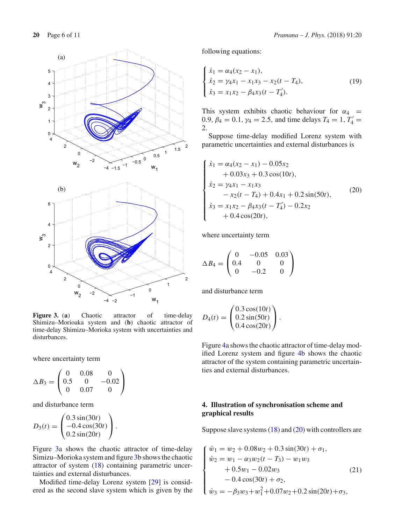

<span id="page-5-1"></span>**Figure 3.** (**a**) Chaotic attractor of time-delay Shimizu–Morioaka system and (**b**) chaotic attractor of time-delay Shimizu–Morioka system with uncertainties and disturbances.

where uncertainty term

$$
\Delta B_3 = \begin{pmatrix} 0 & 0.08 & 0 \\ 0.5 & 0 & -0.02 \\ 0 & 0.07 & 0 \end{pmatrix}
$$

and disturbance term

$$
D_3(t) = \begin{pmatrix} 0.3 \sin(30t) \\ -0.4 \cos(30t) \\ 0.2 \sin(20t) \end{pmatrix}.
$$

Figure [3a](#page-5-1) shows the chaotic attractor of time-delay Simizu–Morioka system and figure [3b](#page-5-1) shows the chaotic attractor of system [\(18\)](#page-4-2) containing parametric uncertainties and external disturbances.

Modified time-delay Lorenz system [\[29\]](#page-10-23) is considered as the second slave system which is given by the following equations:

$$
\begin{cases}\n\dot{x}_1 = \alpha_4 (x_2 - x_1), \\
\dot{x}_2 = \gamma_4 x_1 - x_1 x_3 - x_2 (t - T_4), \\
\dot{x}_3 = x_1 x_2 - \beta_4 x_3 (t - T_4').\n\end{cases}
$$
\n(19)

This system exhibits chaotic behaviour for  $\alpha_4$  =  $0.9, \beta_4 = 0.1, \gamma_4 = 2.5, \text{ and time delays } T_4 = 1, T'_4 =$ 2.

Suppose time-delay modified Lorenz system with parametric uncertainties and external disturbances is

<span id="page-5-2"></span>
$$
\begin{cases}\n\dot{x}_1 = \alpha_4(x_2 - x_1) - 0.05x_2 \\
+ 0.03x_3 + 0.3\cos(10t), \\
\dot{x}_2 = \gamma_4 x_1 - x_1 x_3 \\
- x_2(t - T_4) + 0.4x_1 + 0.2\sin(50t), \\
\dot{x}_3 = x_1 x_2 - \beta_4 x_3(t - T_4') - 0.2x_2 \\
+ 0.4\cos(20t),\n\end{cases}
$$
\n(20)

where uncertainty term

$$
\Delta B_4 = \begin{pmatrix} 0 & -0.05 & 0.03 \\ 0.4 & 0 & 0 \\ 0 & -0.2 & 0 \end{pmatrix}
$$

and disturbance term

$$
D_4(t) = \begin{pmatrix} 0.3 \cos(10t) \\ 0.2 \sin(50t) \\ 0.4 \cos(20t) \end{pmatrix}.
$$

Figure [4a](#page-6-0) shows the chaotic attractor of time-delay modified Lorenz system and figure [4b](#page-6-0) shows the chaotic attractor of the system containing parametric uncertainties and external disturbances.

# <span id="page-5-0"></span>**4. Illustration of synchronisation scheme and graphical results**

<span id="page-5-3"></span>Suppose slave systems [\(18\)](#page-4-2) and [\(20\)](#page-5-2) with controllers are

$$
\begin{cases}\n\dot{w}_1 = w_2 + 0.08w_2 + 0.3\sin(30t) + \sigma_1, \\
\dot{w}_2 = w_1 - \alpha_3 w_2(t - T_3) - w_1 w_3 \\
+ 0.5w_1 - 0.02w_3 \\
- 0.4\cos(30t) + \sigma_2, \\
\dot{w}_3 = -\beta_3 w_3 + w_1^2 + 0.07w_2 + 0.2\sin(20t) + \sigma_3,\n\end{cases}
$$
\n(21)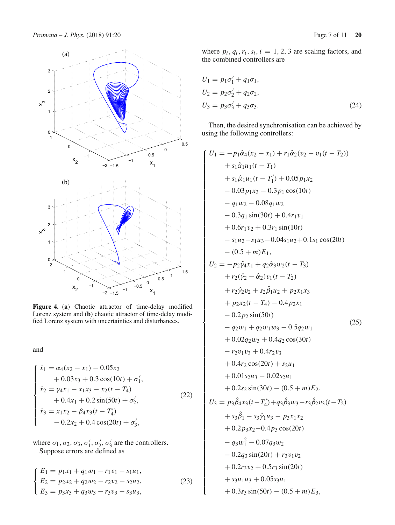

<span id="page-6-0"></span>**Figure 4.** (**a**) Chaotic attractor of time-delay modified Lorenz system and (**b**) chaotic attractor of time-delay modified Lorenz system with uncertainties and disturbances.

<span id="page-6-1"></span>and

$$
\begin{cases}\n\dot{x}_1 = \alpha_4(x_2 - x_1) - 0.05x_2 \\
+ 0.03x_3 + 0.3\cos(10t) + \sigma'_1, \\
\dot{x}_2 = \gamma_4 x_1 - x_1 x_3 - x_2(t - T_4) \\
+ 0.4x_1 + 0.2\sin(50t) + \sigma'_2, \\
\dot{x}_3 = x_1 x_2 - \beta_4 x_3(t - T'_4) \\
- 0.2x_2 + 0.4\cos(20t) + \sigma'_3,\n\end{cases}
$$
\n(22)

where  $\sigma_1$ ,  $\sigma_2$ ,  $\sigma_3$ ,  $\sigma'_1$ ,  $\sigma'_2$ ,  $\sigma'_3$  are the controllers. Suppose errors are defined as

$$
\begin{cases}\nE_1 = p_1 x_1 + q_1 w_1 - r_1 v_1 - s_1 u_1, \\
E_2 = p_2 x_2 + q_2 w_2 - r_2 v_2 - s_2 u_2, \\
E_3 = p_3 x_3 + q_3 w_3 - r_3 v_3 - s_3 u_3,\n\end{cases}
$$
\n(23)

where  $p_i$ ,  $q_i$ ,  $r_i$ ,  $s_i$ ,  $i = 1, 2, 3$  are scaling factors, and the combined controllers are

$$
U_1 = p_1 \sigma'_1 + q_1 \sigma_1,
$$
  
\n
$$
U_2 = p_2 \sigma'_2 + q_2 \sigma_2,
$$
  
\n
$$
U_3 = p_3 \sigma'_3 + q_3 \sigma_3.
$$
\n(24)

Then, the desired synchronisation can be achieved by using the following controllers:

$$
U_1 = -p_1\hat{\alpha}_4(x_2 - x_1) + r_1\hat{\alpha}_2(v_2 - v_1(t - T_2))
$$
  
\n
$$
+ s_1\hat{\alpha}_1u_1(t - T_1)
$$
  
\n
$$
+ s_1\hat{\mu}_1u_1(t - T_1') + 0.05p_1x_2
$$
  
\n
$$
- 0.03p_1x_3 - 0.3p_1\cos(10t)
$$
  
\n
$$
- q_1w_2 - 0.08q_1w_2
$$
  
\n
$$
- 0.3q_1\sin(30t) + 0.4r_1v_1
$$
  
\n
$$
+ 0.6r_1v_2 + 0.3r_1\sin(10t)
$$
  
\n
$$
- s_1u_2 - s_1u_3 - 0.04s_1u_2 + 0.1s_1\cos(20t)
$$
  
\n
$$
- (0.5 + m)E_1,
$$
  
\n
$$
U_2 = -p_2\hat{\gamma}_4x_1 + q_2\hat{\alpha}_3w_2(t - T_3)
$$
  
\n
$$
+ r_2(\hat{\gamma}_2 - \hat{\alpha}_2)v_1(t - T_2)
$$
  
\n
$$
+ r_2\hat{\gamma}_2v_2 + s_2\hat{\beta}_1u_2 + p_2x_1x_3
$$
  
\n
$$
+ p_2x_2(t - T_4) - 0.4p_2x_1
$$
  
\n
$$
- 0.2p_2\sin(50t)
$$
  
\n
$$
- q_2w_1 + q_2w_1w_3 - 0.5q_2w_1
$$
  
\n
$$
+ 0.02q_2w_3 + 0.4q_2\cos(30t)
$$
  
\n
$$
- r_2v_1v_3 + 0.4r_2v_3
$$
  
\n
$$
+ 0.4r_2\cos(20t) + s_2u_1
$$
  
\n
$$
+ 0.01s_2u_3 - 0.02s_2u_1
$$
  
\n
$$
+ 0.2s_2\sin(30t) - (0.5 + m)E_2,
$$
  
\n $$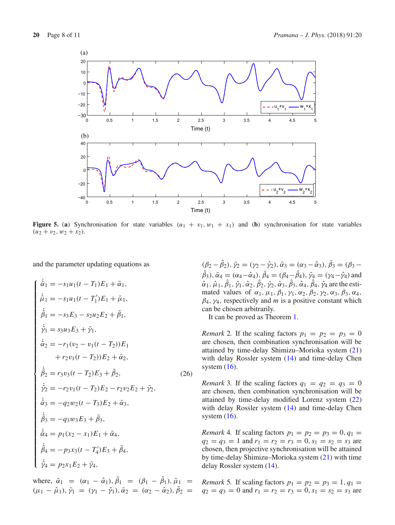

<span id="page-7-0"></span>**Figure 5.** (a) Synchronisation for state variables  $(u_1 + v_1, w_1 + x_1)$  and (b) synchronisation for state variables  $(u_2 + v_2, w_2 + x_2).$ 

and the parameter updating equations as

$$
\begin{cases}\n\dot{\hat{\alpha}}_1 = -s_1 u_1 (t - T_1) E_1 + \bar{\alpha}_1, \\
\dot{\hat{\mu}}_1 = -s_1 u_1 (t - T_1') E_1 + \bar{\mu}_1, \\
\dot{\hat{\beta}}_1 = -s_3 E_3 - s_2 u_2 E_2 + \bar{\beta}_1, \\
\dot{\hat{\gamma}}_1 = s_3 u_3 E_3 + \bar{\gamma}_1, \\
\dot{\hat{\alpha}}_2 = -r_1 (v_2 - v_1 (t - T_2)) E_1 \\
+r_2 v_1 (t - T_2)) E_2 + \bar{\alpha}_2, \\
\dot{\hat{\beta}}_2 = r_3 v_3 (t - T_2) E_3 + \bar{\beta}_2, \\
\dot{\hat{\gamma}}_2 = -r_2 v_1 (t - T_2) E_2 - r_2 v_2 E_2 + \bar{\gamma}_2, \\
\dot{\hat{\alpha}}_3 = -q_2 w_2 (t - T_3) E_2 + \bar{\alpha}_3, \\
\dot{\hat{\beta}}_3 = -q_3 w_3 E_3 + \bar{\beta}_3, \\
\dot{\hat{\alpha}}_4 = p_1 (x_2 - x_1) E_1 + \bar{\alpha}_4, \\
\dot{\hat{\beta}}_4 = -p_3 x_3 (t - T_4') E_3 + \bar{\beta}_4, \\
\dot{\hat{\gamma}}_4 = p_2 x_1 E_2 + \bar{\gamma}_4,\n\end{cases} \tag{26}
$$

where,  $\bar{\alpha}_1 = (\alpha_1 - \hat{\alpha}_1), \beta_1 = (\beta_1 - \hat{\beta}_1), \bar{\mu}_1 =$  $(\mu_1 - \hat{\mu}_1), \bar{\gamma}_1 = (\gamma_1 - \hat{\gamma}_1), \bar{\alpha}_2 = (\alpha_2 - \hat{\alpha}_2), \beta_2 =$ 

<span id="page-7-1"></span> $(\beta_2 - \beta_2), \bar{\gamma}_2 = (\gamma_2 - \hat{\gamma}_2), \bar{\alpha}_3 = (\alpha_3 - \hat{\alpha}_3), \beta_3 = (\beta_3 - \hat{\beta}_3)$  $(\beta_3)$ ,  $\bar{\alpha}_4 = (\alpha_4 - \hat{\alpha}_4)$ ,  $\beta_4 = (\beta_4 - \beta_4)$ ,  $\bar{\gamma}_4 = (\gamma_4 - \hat{\gamma}_4)$  and  $\hat{\alpha}_1, \hat{\mu}_1, \hat{\beta}_1, \hat{\gamma}_1, \hat{\alpha}_2, \hat{\beta}_2, \hat{\gamma}_2, \hat{\alpha}_3, \hat{\beta}_3, \hat{\alpha}_4, \hat{\beta}_4, \hat{\gamma}_4$  are the estimated values of  $\alpha_1$ ,  $\mu_1$ ,  $\beta_1$ ,  $\gamma_1$ ,  $\alpha_2$ ,  $\beta_2$ ,  $\gamma_2$ ,  $\alpha_3$ ,  $\beta_3$ ,  $\alpha_4$ ,  $\beta_4$ ,  $\gamma_4$ , respectively and *m* is a positive constant which can be chosen arbitrarily.

It can be proved as Theorem [1.](#page-2-4)

*Remark* 2. If the scaling factors  $p_1 = p_2 = p_3 = 0$ are chosen, then combination synchronisation will be attained by time-delay Shimizu–Morioka system [\(21\)](#page-5-3) with delay Rossler system [\(14\)](#page-3-2) and time-delay Chen system  $(16)$ .

*Remark* 3. If the scaling factors  $q_1 = q_2 = q_3 = 0$ are chosen, then combination synchronisation will be attained by time-delay modified Lorenz system [\(22\)](#page-6-1) with delay Rossler system [\(14\)](#page-3-2) and time-delay Chen system  $(16)$ .

*Remark* 4*.* If scaling factors  $p_1 = p_2 = p_3 = 0, q_1 = 0$  $q_2 = q_3 = 1$  and  $r_1 = r_2 = r_3 = 0$ ,  $s_1 = s_2 = s_3$  are chosen, then projective synchronisation will be attained by time-delay Shimizu–Morioka system [\(21\)](#page-5-3) with time delay Rossler system [\(14\)](#page-3-2).

*Remark* 5*.* If scaling factors  $p_1 = p_2 = p_3 = 1, q_1 = 1$  $q_2 = q_3 = 0$  and  $r_1 = r_2 = r_3 = 0$ ,  $s_1 = s_2 = s_3$  are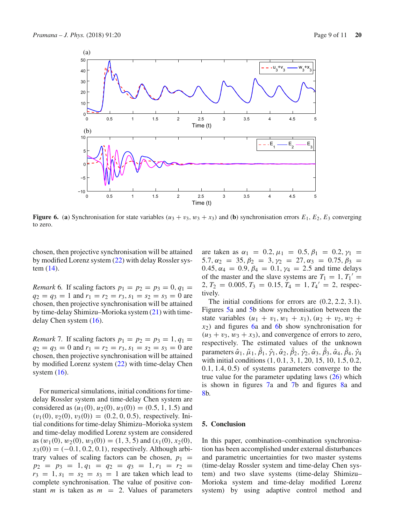

<span id="page-8-1"></span>**Figure 6.** (a) Synchronisation for state variables  $(u_3 + v_3, w_3 + x_3)$  and (b) synchronisation errors  $E_1$ ,  $E_2$ ,  $E_3$  converging to zero.

chosen, then projective synchronisation will be attained by modified Lorenz system [\(22\)](#page-6-1) with delay Rossler system [\(14\)](#page-3-2).

*Remark* 6*.* If scaling factors  $p_1 = p_2 = p_3 = 0, q_1 = 0$  $q_2 = q_3 = 1$  and  $r_1 = r_2 = r_3$ ,  $s_1 = s_2 = s_3 = 0$  are chosen, then projective synchronisation will be attained by time-delay Shimizu–Morioka system [\(21\)](#page-5-3) with timedelay Chen system [\(16\)](#page-3-3).

*Remark* 7. If scaling factors  $p_1 = p_2 = p_3 = 1, q_1 =$  $q_2 = q_3 = 0$  and  $r_1 = r_2 = r_3$ ,  $s_1 = s_2 = s_3 = 0$  are chosen, then projective synchronisation will be attained by modified Lorenz system [\(22\)](#page-6-1) with time-delay Chen system  $(16)$ .

For numerical simulations, initial conditions for timedelay Rossler system and time-delay Chen system are considered as  $(u_1(0), u_2(0), u_3(0)) = (0.5, 1, 1.5)$  and  $(v_1(0), v_2(0), v_3(0)) = (0.2, 0, 0.5)$ , respectively. Initial conditions for time-delay Shimizu–Morioka system and time-delay modified Lorenz system are considered as  $(w_1(0), w_2(0), w_3(0)) = (1, 3, 5)$  and  $(x_1(0), x_2(0),$  $x_3(0) = (-0.1, 0.2, 0.1)$ , respectively. Although arbitrary values of scaling factors can be chosen,  $p_1$  =  $p_2 = p_3 = 1, q_1 = q_2 = q_3 = 1, r_1 = r_2 =$  $r_3 = 1, s_1 = s_2 = s_3 = 1$  are taken which lead to complete synchronisation. The value of positive constant *m* is taken as  $m = 2$ . Values of parameters are taken as  $\alpha_1 = 0.2, \mu_1 = 0.5, \beta_1 = 0.2, \gamma_1 =$ 5.7,  $\alpha_2 = 35$ ,  $\beta_2 = 3$ ,  $\gamma_2 = 27$ ,  $\alpha_3 = 0.75$ ,  $\beta_3 =$ 0.45,  $\alpha_4 = 0.9$ ,  $\beta_4 = 0.1$ ,  $\gamma_4 = 2.5$  and time delays of the master and the slave systems are  $T_1 = 1, T_1' =$  $2, T_2 = 0.005, T_3 = 0.15, T_4 = 1, T_4' = 2, \text{ respec-}$ tively.

The initial conditions for errors are  $(0.2, 2.2, 3.1)$ . Figures [5a](#page-7-0) and [5b](#page-7-0) show synchronisation between the state variables  $(u_1 + v_1, w_1 + x_1), (u_2 + v_2, w_2 +$ *x*2) and figures [6a](#page-8-1) and [6b](#page-8-1) show synchronisation for  $(u_3 + v_3, w_3 + x_3)$ , and convergence of errors to zero, respectively. The estimated values of the unknown parameters  $\hat{\alpha}_1$ ,  $\hat{\mu}_1$ ,  $\hat{\beta}_1$ ,  $\hat{\gamma}_1$ ,  $\hat{\alpha}_2$ ,  $\hat{\beta}_2$ ,  $\hat{\gamma}_2$ ,  $\hat{\alpha}_3$ ,  $\hat{\beta}_3$ ,  $\hat{\alpha}_4$ ,  $\hat{\beta}_4$ ,  $\hat{\gamma}_4$ with initial conditions  $(1, 0.1, 3, 1, 20, 15, 10, 1.5, 0.2,$ 0.1, 1.4, 0.5) of systems parameters converge to the true value for the parameter updating laws  $(26)$  which is shown in figures [7a](#page-9-5) and [7b](#page-9-5) and figures [8a](#page-9-6) and [8b](#page-9-6).

## <span id="page-8-0"></span>**5. Conclusion**

In this paper, combination–combination synchronisation has been accomplished under external disturbances and parametric uncertainties for two master systems (time-delay Rossler system and time-delay Chen system) and two slave systems (time-delay Shimizu– Morioka system and time-delay modified Lorenz system) by using adaptive control method and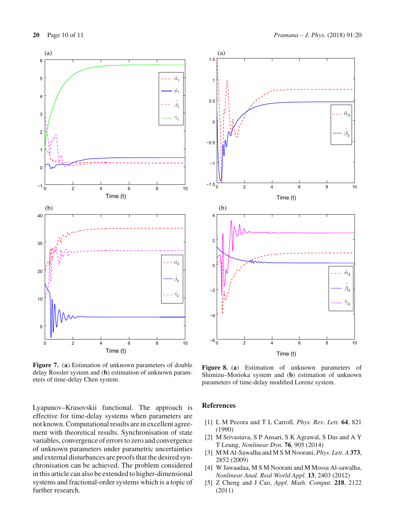

<span id="page-9-5"></span>**Figure 7.** (**a**) Estimation of unknown parameters of double delay Rossler system and (**b**) estimation of unknown parameters of time-delay Chen system.

Lyapunov–Krasovskii functional. The approach is effective for time-delay systems when parameters are not known. Computational results are in excellent agreement with theoretical results. Synchronisation of state variables, convergence of errors to zero and convergence of unknown parameters under parametric uncertainties and external disturbances are proofs that the desired synchronisation can be achieved. The problem considered in this article can also be extended to higher-dimensional systems and fractional-order systems which is a topic of further research.



<span id="page-9-6"></span>**Figure 8.** (**a**) Estimation of unknown parameters of Shimizu–Morioka system and (**b**) estimation of unknown parameters of time-delay modified Lorenz system.

#### **References**

- <span id="page-9-0"></span>[1] L M Pecora and T L Carroll, *Phys. Rev. Lett.* **64**, 821 (1990)
- <span id="page-9-1"></span>[2] M Srivastava, S P Ansari, S K Agrawal, S Das and A Y T Leung, *Nonlinear Dyn.* **76**, 905 (2014)
- <span id="page-9-2"></span>[3] M M Al-Sawalha and M S M Noorani, *Phys. Lett. A* **373**, 2852 (2009)
- <span id="page-9-3"></span>[4] W Jawaadaa, M S M Noorani and M Mossa Al-sawalha, *Nonlinear Anal. Real World Appl.* **13**, 2403 (2012)
- <span id="page-9-4"></span>[5] Z Cheng and J Cao, *Appl. Math. Comput.* **218**, 2122 (2011)